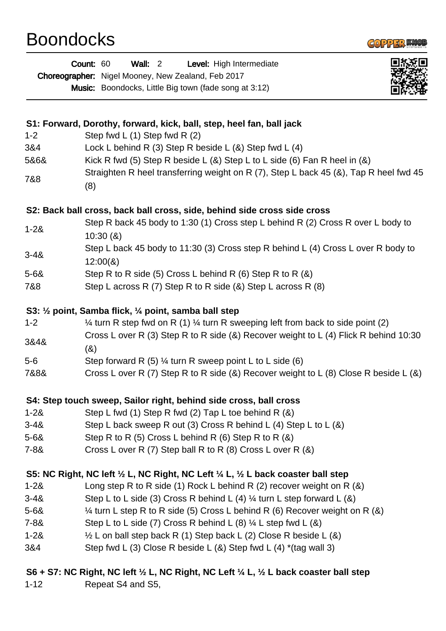## Boondocks



|                | <b>Wall: 2</b><br>Count: 60<br>Level: High Intermediate<br>Choreographer: Nigel Mooney, New Zealand, Feb 2017<br><b>Music:</b> Boondocks, Little Big town (fade song at 3:12) |
|----------------|-------------------------------------------------------------------------------------------------------------------------------------------------------------------------------|
|                |                                                                                                                                                                               |
|                | S1: Forward, Dorothy, forward, kick, ball, step, heel fan, ball jack                                                                                                          |
| $1 - 2$<br>3&4 | Step fwd L $(1)$ Step fwd R $(2)$<br>Lock L behind R (3) Step R beside L ( $\&$ ) Step fwd L (4)                                                                              |
| 5&6&           | Kick R fwd (5) Step R beside L ( $\&$ ) Step L to L side (6) Fan R heel in ( $\&$ )                                                                                           |
|                | Straighten R heel transferring weight on R (7), Step L back 45 (&), Tap R heel fwd 45                                                                                         |
| 7&8            | (8)                                                                                                                                                                           |
|                | S2: Back ball cross, back ball cross, side, behind side cross side cross                                                                                                      |
| $1 - 28$       | Step R back 45 body to 1:30 (1) Cross step L behind R (2) Cross R over L body to<br>10:30(8)                                                                                  |
| $3 - 48$       | Step L back 45 body to 11:30 (3) Cross step R behind L (4) Cross L over R body to<br>12:00(8)                                                                                 |
| $5 - 68$       | Step R to R side (5) Cross L behind R (6) Step R to R $(8)$                                                                                                                   |
| 7&8            | Step L across R $(7)$ Step R to R side $(8)$ Step L across R $(8)$                                                                                                            |
|                | S3: 1/2 point, Samba flick, 1/4 point, samba ball step                                                                                                                        |
| $1 - 2$        | $\frac{1}{4}$ turn R step fwd on R (1) $\frac{1}{4}$ turn R sweeping left from back to side point (2)                                                                         |
| 3&4&           | Cross L over R (3) Step R to R side (&) Recover weight to L (4) Flick R behind 10:30                                                                                          |
|                | (8)                                                                                                                                                                           |
| $5-6$          | Step forward R $(5)$ ¼ turn R sweep point L to L side $(6)$                                                                                                                   |
| 7&8&           | Cross L over R (7) Step R to R side (&) Recover weight to L (8) Close R beside L (&)                                                                                          |
|                | S4: Step touch sweep, Sailor right, behind side cross, ball cross                                                                                                             |
| $1 - 28$       | Step L fwd (1) Step R fwd (2) Tap L toe behind R $(8)$                                                                                                                        |
| $3 - 48$       | Step L back sweep R out (3) Cross R behind L (4) Step L to L $(8)$                                                                                                            |
| $5 - 68$       | Step R to R $(5)$ Cross L behind R $(6)$ Step R to R $(8)$                                                                                                                    |
| $7 - 88$       | Cross L over R (7) Step ball R to R (8) Cross L over R (&)                                                                                                                    |
|                | S5: NC Right, NC left 1/2 L, NC Right, NC Left 1/4 L, 1/2 L back coaster ball step                                                                                            |
| $1 - 28$       | Long step R to R side (1) Rock L behind R (2) recover weight on R $(8)$                                                                                                       |
| $3 - 48$       | Step L to L side (3) Cross R behind L (4) $\frac{1}{4}$ turn L step forward L (&)                                                                                             |
| $5 - 68$       | $\frac{1}{4}$ turn L step R to R side (5) Cross L behind R (6) Recover weight on R (8)                                                                                        |
| $7 - 88$       | Step L to L side (7) Cross R behind L (8) $\frac{1}{4}$ L step fwd L (8)                                                                                                      |
| $1 - 28$       | $\frac{1}{2}$ L on ball step back R (1) Step back L (2) Close R beside L (&)                                                                                                  |
| 3&4            | Step fwd L (3) Close R beside L (&) Step fwd L (4) $*(tag wall 3)$                                                                                                            |
|                | S6 + S7: NC Right, NC left 1/2 L, NC Right, NC Left 1/4 L, 1/2 L back coaster ball step                                                                                       |

1-12 Repeat S4 and S5,